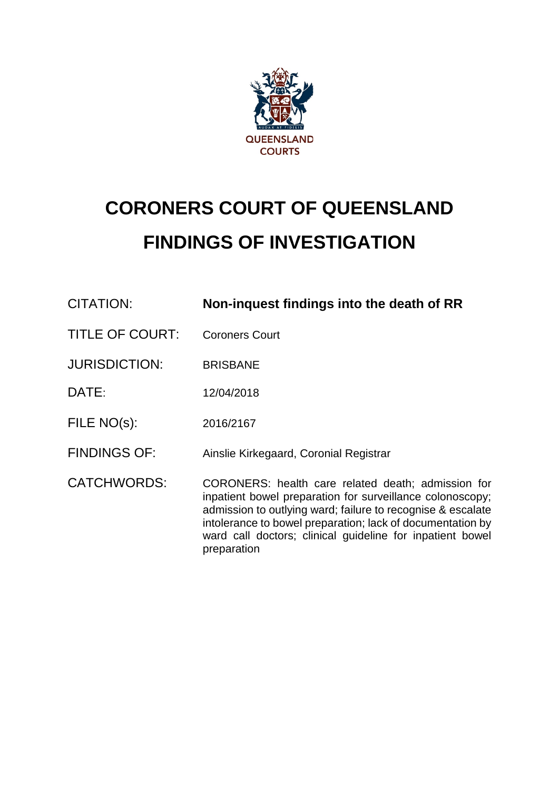

# **CORONERS COURT OF QUEENSLAND FINDINGS OF INVESTIGATION**

| CITATION:              | Non-inquest findings into the death of RR                                                                                                                                                                                                                                                                                |
|------------------------|--------------------------------------------------------------------------------------------------------------------------------------------------------------------------------------------------------------------------------------------------------------------------------------------------------------------------|
| <b>TITLE OF COURT:</b> | <b>Coroners Court</b>                                                                                                                                                                                                                                                                                                    |
| <b>JURISDICTION:</b>   | <b>BRISBANE</b>                                                                                                                                                                                                                                                                                                          |
| DATE:                  | 12/04/2018                                                                                                                                                                                                                                                                                                               |
| FILE NO(s):            | 2016/2167                                                                                                                                                                                                                                                                                                                |
| <b>FINDINGS OF:</b>    | Ainslie Kirkegaard, Coronial Registrar                                                                                                                                                                                                                                                                                   |
| <b>CATCHWORDS:</b>     | CORONERS: health care related death; admission for<br>inpatient bowel preparation for surveillance colonoscopy;<br>admission to outlying ward; failure to recognise & escalate<br>intolerance to bowel preparation; lack of documentation by<br>ward call doctors; clinical guideline for inpatient bowel<br>preparation |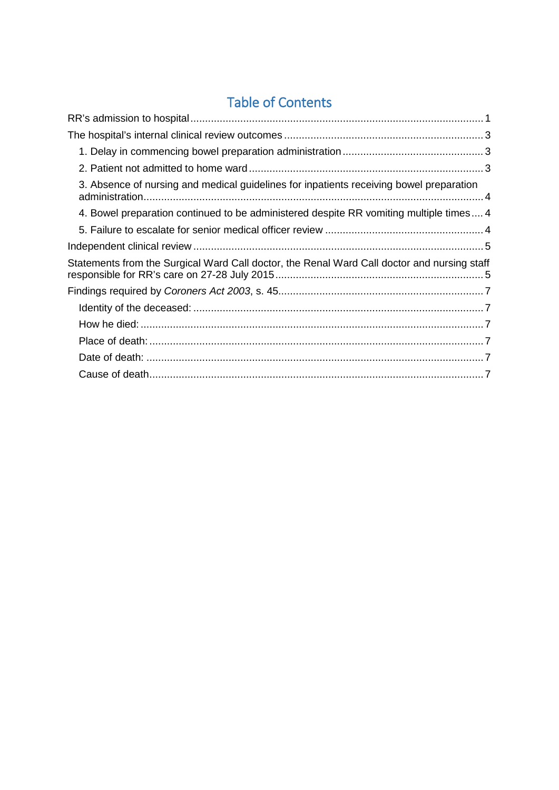# Table of Contents

| 3. Absence of nursing and medical guidelines for inpatients receiving bowel preparation     |
|---------------------------------------------------------------------------------------------|
| 4. Bowel preparation continued to be administered despite RR vomiting multiple times 4      |
|                                                                                             |
|                                                                                             |
| Statements from the Surgical Ward Call doctor, the Renal Ward Call doctor and nursing staff |
|                                                                                             |
|                                                                                             |
|                                                                                             |
|                                                                                             |
|                                                                                             |
|                                                                                             |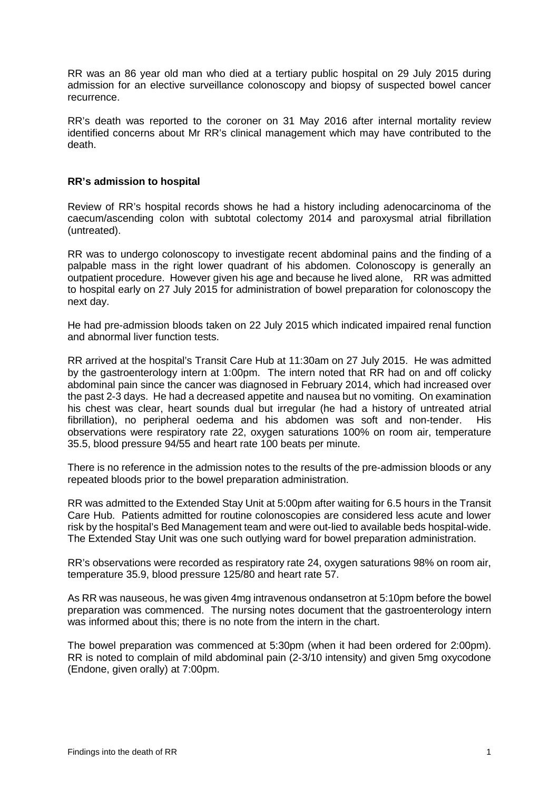RR was an 86 year old man who died at a tertiary public hospital on 29 July 2015 during admission for an elective surveillance colonoscopy and biopsy of suspected bowel cancer recurrence.

RR's death was reported to the coroner on 31 May 2016 after internal mortality review identified concerns about Mr RR's clinical management which may have contributed to the death.

#### <span id="page-2-0"></span>**RR's admission to hospital**

Review of RR's hospital records shows he had a history including adenocarcinoma of the caecum/ascending colon with subtotal colectomy 2014 and paroxysmal atrial fibrillation (untreated).

RR was to undergo colonoscopy to investigate recent abdominal pains and the finding of a palpable mass in the right lower quadrant of his abdomen. Colonoscopy is generally an outpatient procedure. However given his age and because he lived alone, RR was admitted to hospital early on 27 July 2015 for administration of bowel preparation for colonoscopy the next day.

He had pre-admission bloods taken on 22 July 2015 which indicated impaired renal function and abnormal liver function tests.

RR arrived at the hospital's Transit Care Hub at 11:30am on 27 July 2015. He was admitted by the gastroenterology intern at 1:00pm. The intern noted that RR had on and off colicky abdominal pain since the cancer was diagnosed in February 2014, which had increased over the past 2-3 days. He had a decreased appetite and nausea but no vomiting. On examination his chest was clear, heart sounds dual but irregular (he had a history of untreated atrial fibrillation), no peripheral oedema and his abdomen was soft and non-tender. His observations were respiratory rate 22, oxygen saturations 100% on room air, temperature 35.5, blood pressure 94/55 and heart rate 100 beats per minute.

There is no reference in the admission notes to the results of the pre-admission bloods or any repeated bloods prior to the bowel preparation administration.

RR was admitted to the Extended Stay Unit at 5:00pm after waiting for 6.5 hours in the Transit Care Hub. Patients admitted for routine colonoscopies are considered less acute and lower risk by the hospital's Bed Management team and were out-lied to available beds hospital-wide. The Extended Stay Unit was one such outlying ward for bowel preparation administration.

RR's observations were recorded as respiratory rate 24, oxygen saturations 98% on room air, temperature 35.9, blood pressure 125/80 and heart rate 57.

As RR was nauseous, he was given 4mg intravenous ondansetron at 5:10pm before the bowel preparation was commenced. The nursing notes document that the gastroenterology intern was informed about this; there is no note from the intern in the chart.

The bowel preparation was commenced at 5:30pm (when it had been ordered for 2:00pm). RR is noted to complain of mild abdominal pain (2-3/10 intensity) and given 5mg oxycodone (Endone, given orally) at 7:00pm.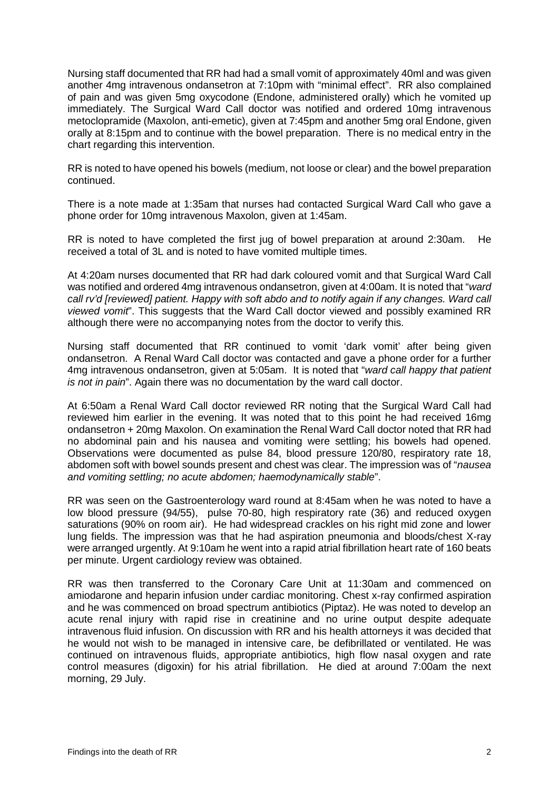Nursing staff documented that RR had had a small vomit of approximately 40ml and was given another 4mg intravenous ondansetron at 7:10pm with "minimal effect". RR also complained of pain and was given 5mg oxycodone (Endone, administered orally) which he vomited up immediately. The Surgical Ward Call doctor was notified and ordered 10mg intravenous metoclopramide (Maxolon, anti-emetic), given at 7:45pm and another 5mg oral Endone, given orally at 8:15pm and to continue with the bowel preparation. There is no medical entry in the chart regarding this intervention.

RR is noted to have opened his bowels (medium, not loose or clear) and the bowel preparation continued.

There is a note made at 1:35am that nurses had contacted Surgical Ward Call who gave a phone order for 10mg intravenous Maxolon, given at 1:45am.

RR is noted to have completed the first jug of bowel preparation at around 2:30am. He received a total of 3L and is noted to have vomited multiple times.

At 4:20am nurses documented that RR had dark coloured vomit and that Surgical Ward Call was notified and ordered 4mg intravenous ondansetron, given at 4:00am. It is noted that "*ward call rv'd [reviewed] patient. Happy with soft abdo and to notify again if any changes. Ward call viewed vomit*". This suggests that the Ward Call doctor viewed and possibly examined RR although there were no accompanying notes from the doctor to verify this.

Nursing staff documented that RR continued to vomit 'dark vomit' after being given ondansetron. A Renal Ward Call doctor was contacted and gave a phone order for a further 4mg intravenous ondansetron, given at 5:05am. It is noted that "*ward call happy that patient is not in pain*". Again there was no documentation by the ward call doctor.

At 6:50am a Renal Ward Call doctor reviewed RR noting that the Surgical Ward Call had reviewed him earlier in the evening. It was noted that to this point he had received 16mg ondansetron + 20mg Maxolon. On examination the Renal Ward Call doctor noted that RR had no abdominal pain and his nausea and vomiting were settling; his bowels had opened. Observations were documented as pulse 84, blood pressure 120/80, respiratory rate 18, abdomen soft with bowel sounds present and chest was clear. The impression was of "*nausea and vomiting settling; no acute abdomen; haemodynamically stable*".

RR was seen on the Gastroenterology ward round at 8:45am when he was noted to have a low blood pressure (94/55), pulse 70-80, high respiratory rate (36) and reduced oxygen saturations (90% on room air). He had widespread crackles on his right mid zone and lower lung fields. The impression was that he had aspiration pneumonia and bloods/chest X-ray were arranged urgently. At 9:10am he went into a rapid atrial fibrillation heart rate of 160 beats per minute. Urgent cardiology review was obtained.

RR was then transferred to the Coronary Care Unit at 11:30am and commenced on amiodarone and heparin infusion under cardiac monitoring. Chest x-ray confirmed aspiration and he was commenced on broad spectrum antibiotics (Piptaz). He was noted to develop an acute renal injury with rapid rise in creatinine and no urine output despite adequate intravenous fluid infusion. On discussion with RR and his health attorneys it was decided that he would not wish to be managed in intensive care, be defibrillated or ventilated. He was continued on intravenous fluids, appropriate antibiotics, high flow nasal oxygen and rate control measures (digoxin) for his atrial fibrillation. He died at around 7:00am the next morning, 29 July.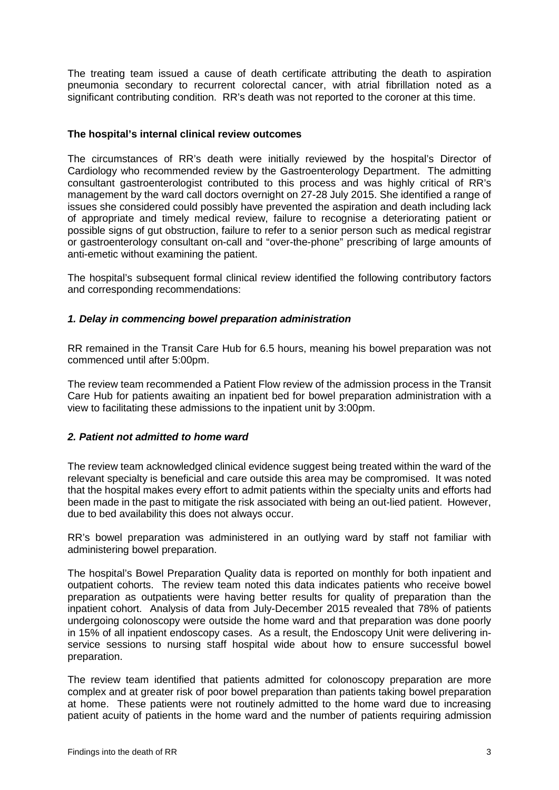The treating team issued a cause of death certificate attributing the death to aspiration pneumonia secondary to recurrent colorectal cancer, with atrial fibrillation noted as a significant contributing condition. RR's death was not reported to the coroner at this time.

#### <span id="page-4-0"></span>**The hospital's internal clinical review outcomes**

The circumstances of RR's death were initially reviewed by the hospital's Director of Cardiology who recommended review by the Gastroenterology Department. The admitting consultant gastroenterologist contributed to this process and was highly critical of RR's management by the ward call doctors overnight on 27-28 July 2015. She identified a range of issues she considered could possibly have prevented the aspiration and death including lack of appropriate and timely medical review, failure to recognise a deteriorating patient or possible signs of gut obstruction, failure to refer to a senior person such as medical registrar or gastroenterology consultant on-call and "over-the-phone" prescribing of large amounts of anti-emetic without examining the patient.

The hospital's subsequent formal clinical review identified the following contributory factors and corresponding recommendations:

# <span id="page-4-1"></span>*1. Delay in commencing bowel preparation administration*

RR remained in the Transit Care Hub for 6.5 hours, meaning his bowel preparation was not commenced until after 5:00pm.

The review team recommended a Patient Flow review of the admission process in the Transit Care Hub for patients awaiting an inpatient bed for bowel preparation administration with a view to facilitating these admissions to the inpatient unit by 3:00pm.

# <span id="page-4-2"></span>*2. Patient not admitted to home ward*

The review team acknowledged clinical evidence suggest being treated within the ward of the relevant specialty is beneficial and care outside this area may be compromised. It was noted that the hospital makes every effort to admit patients within the specialty units and efforts had been made in the past to mitigate the risk associated with being an out-lied patient. However, due to bed availability this does not always occur.

RR's bowel preparation was administered in an outlying ward by staff not familiar with administering bowel preparation.

The hospital's Bowel Preparation Quality data is reported on monthly for both inpatient and outpatient cohorts. The review team noted this data indicates patients who receive bowel preparation as outpatients were having better results for quality of preparation than the inpatient cohort. Analysis of data from July-December 2015 revealed that 78% of patients undergoing colonoscopy were outside the home ward and that preparation was done poorly in 15% of all inpatient endoscopy cases. As a result, the Endoscopy Unit were delivering inservice sessions to nursing staff hospital wide about how to ensure successful bowel preparation.

The review team identified that patients admitted for colonoscopy preparation are more complex and at greater risk of poor bowel preparation than patients taking bowel preparation at home. These patients were not routinely admitted to the home ward due to increasing patient acuity of patients in the home ward and the number of patients requiring admission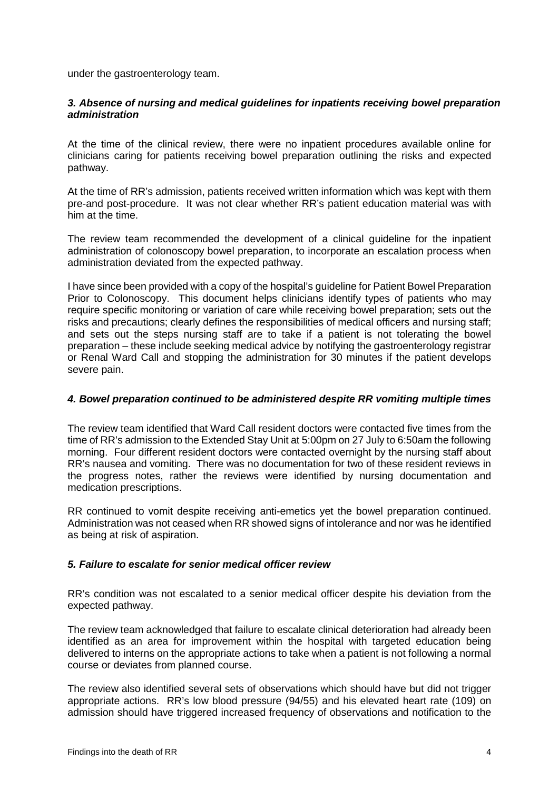under the gastroenterology team.

# <span id="page-5-0"></span>*3. Absence of nursing and medical guidelines for inpatients receiving bowel preparation administration*

At the time of the clinical review, there were no inpatient procedures available online for clinicians caring for patients receiving bowel preparation outlining the risks and expected pathway.

At the time of RR's admission, patients received written information which was kept with them pre-and post-procedure. It was not clear whether RR's patient education material was with him at the time.

The review team recommended the development of a clinical guideline for the inpatient administration of colonoscopy bowel preparation, to incorporate an escalation process when administration deviated from the expected pathway.

I have since been provided with a copy of the hospital's guideline for Patient Bowel Preparation Prior to Colonoscopy. This document helps clinicians identify types of patients who may require specific monitoring or variation of care while receiving bowel preparation; sets out the risks and precautions; clearly defines the responsibilities of medical officers and nursing staff; and sets out the steps nursing staff are to take if a patient is not tolerating the bowel preparation – these include seeking medical advice by notifying the gastroenterology registrar or Renal Ward Call and stopping the administration for 30 minutes if the patient develops severe pain.

# <span id="page-5-1"></span>*4. Bowel preparation continued to be administered despite RR vomiting multiple times*

The review team identified that Ward Call resident doctors were contacted five times from the time of RR's admission to the Extended Stay Unit at 5:00pm on 27 July to 6:50am the following morning. Four different resident doctors were contacted overnight by the nursing staff about RR's nausea and vomiting. There was no documentation for two of these resident reviews in the progress notes, rather the reviews were identified by nursing documentation and medication prescriptions.

RR continued to vomit despite receiving anti-emetics yet the bowel preparation continued. Administration was not ceased when RR showed signs of intolerance and nor was he identified as being at risk of aspiration.

# <span id="page-5-2"></span>*5. Failure to escalate for senior medical officer review*

RR's condition was not escalated to a senior medical officer despite his deviation from the expected pathway.

The review team acknowledged that failure to escalate clinical deterioration had already been identified as an area for improvement within the hospital with targeted education being delivered to interns on the appropriate actions to take when a patient is not following a normal course or deviates from planned course.

The review also identified several sets of observations which should have but did not trigger appropriate actions. RR's low blood pressure (94/55) and his elevated heart rate (109) on admission should have triggered increased frequency of observations and notification to the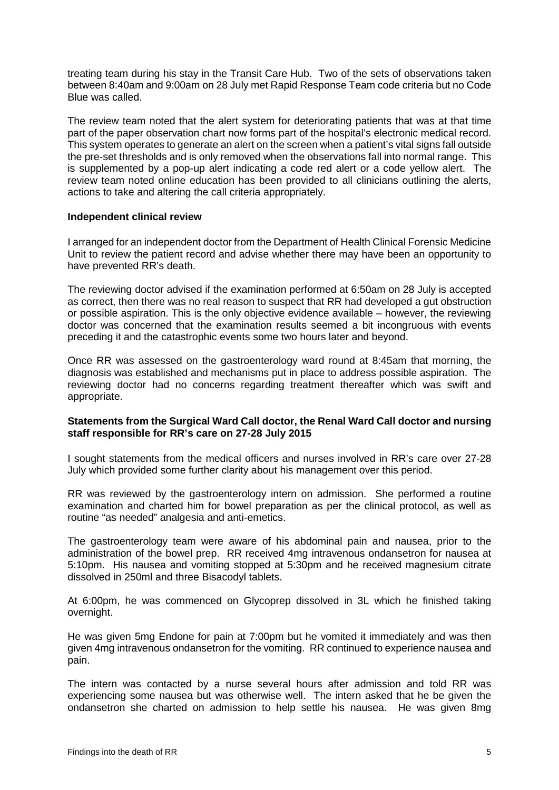treating team during his stay in the Transit Care Hub. Two of the sets of observations taken between 8:40am and 9:00am on 28 July met Rapid Response Team code criteria but no Code Blue was called.

The review team noted that the alert system for deteriorating patients that was at that time part of the paper observation chart now forms part of the hospital's electronic medical record. This system operates to generate an alert on the screen when a patient's vital signs fall outside the pre-set thresholds and is only removed when the observations fall into normal range. This is supplemented by a pop-up alert indicating a code red alert or a code yellow alert. The review team noted online education has been provided to all clinicians outlining the alerts, actions to take and altering the call criteria appropriately.

#### <span id="page-6-0"></span>**Independent clinical review**

I arranged for an independent doctor from the Department of Health Clinical Forensic Medicine Unit to review the patient record and advise whether there may have been an opportunity to have prevented RR's death.

The reviewing doctor advised if the examination performed at 6:50am on 28 July is accepted as correct, then there was no real reason to suspect that RR had developed a gut obstruction or possible aspiration. This is the only objective evidence available – however, the reviewing doctor was concerned that the examination results seemed a bit incongruous with events preceding it and the catastrophic events some two hours later and beyond.

Once RR was assessed on the gastroenterology ward round at 8:45am that morning, the diagnosis was established and mechanisms put in place to address possible aspiration. The reviewing doctor had no concerns regarding treatment thereafter which was swift and appropriate.

#### <span id="page-6-1"></span>**Statements from the Surgical Ward Call doctor, the Renal Ward Call doctor and nursing staff responsible for RR's care on 27-28 July 2015**

I sought statements from the medical officers and nurses involved in RR's care over 27-28 July which provided some further clarity about his management over this period.

RR was reviewed by the gastroenterology intern on admission. She performed a routine examination and charted him for bowel preparation as per the clinical protocol, as well as routine "as needed" analgesia and anti-emetics.

The gastroenterology team were aware of his abdominal pain and nausea, prior to the administration of the bowel prep. RR received 4mg intravenous ondansetron for nausea at 5:10pm. His nausea and vomiting stopped at 5:30pm and he received magnesium citrate dissolved in 250ml and three Bisacodyl tablets.

At 6:00pm, he was commenced on Glycoprep dissolved in 3L which he finished taking overnight.

He was given 5mg Endone for pain at 7:00pm but he vomited it immediately and was then given 4mg intravenous ondansetron for the vomiting. RR continued to experience nausea and pain.

The intern was contacted by a nurse several hours after admission and told RR was experiencing some nausea but was otherwise well. The intern asked that he be given the ondansetron she charted on admission to help settle his nausea. He was given 8mg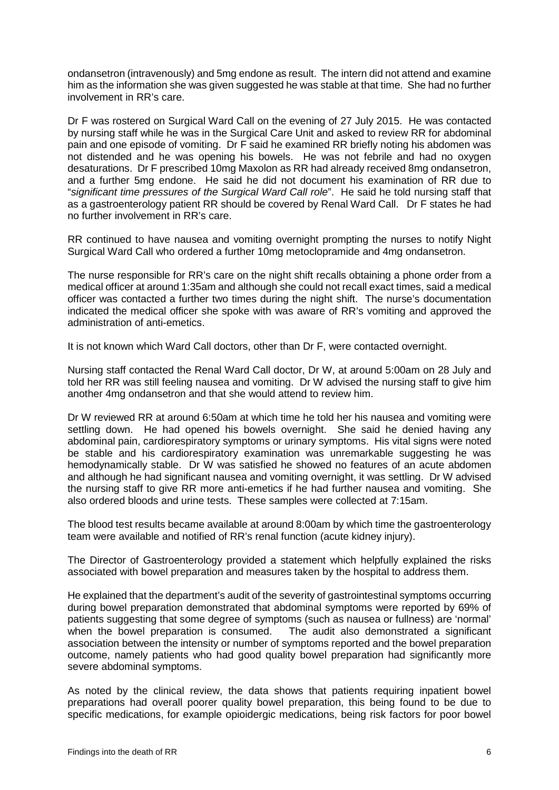ondansetron (intravenously) and 5mg endone as result. The intern did not attend and examine him as the information she was given suggested he was stable at that time. She had no further involvement in RR's care.

Dr F was rostered on Surgical Ward Call on the evening of 27 July 2015. He was contacted by nursing staff while he was in the Surgical Care Unit and asked to review RR for abdominal pain and one episode of vomiting. Dr F said he examined RR briefly noting his abdomen was not distended and he was opening his bowels. He was not febrile and had no oxygen desaturations. Dr F prescribed 10mg Maxolon as RR had already received 8mg ondansetron, and a further 5mg endone. He said he did not document his examination of RR due to "*significant time pressures of the Surgical Ward Call role*". He said he told nursing staff that as a gastroenterology patient RR should be covered by Renal Ward Call. Dr F states he had no further involvement in RR's care.

RR continued to have nausea and vomiting overnight prompting the nurses to notify Night Surgical Ward Call who ordered a further 10mg metoclopramide and 4mg ondansetron.

The nurse responsible for RR's care on the night shift recalls obtaining a phone order from a medical officer at around 1:35am and although she could not recall exact times, said a medical officer was contacted a further two times during the night shift. The nurse's documentation indicated the medical officer she spoke with was aware of RR's vomiting and approved the administration of anti-emetics.

It is not known which Ward Call doctors, other than Dr F, were contacted overnight.

Nursing staff contacted the Renal Ward Call doctor, Dr W, at around 5:00am on 28 July and told her RR was still feeling nausea and vomiting. Dr W advised the nursing staff to give him another 4mg ondansetron and that she would attend to review him.

Dr W reviewed RR at around 6:50am at which time he told her his nausea and vomiting were settling down. He had opened his bowels overnight. She said he denied having any abdominal pain, cardiorespiratory symptoms or urinary symptoms. His vital signs were noted be stable and his cardiorespiratory examination was unremarkable suggesting he was hemodynamically stable. Dr W was satisfied he showed no features of an acute abdomen and although he had significant nausea and vomiting overnight, it was settling. Dr W advised the nursing staff to give RR more anti-emetics if he had further nausea and vomiting. She also ordered bloods and urine tests. These samples were collected at 7:15am.

The blood test results became available at around 8:00am by which time the gastroenterology team were available and notified of RR's renal function (acute kidney injury).

The Director of Gastroenterology provided a statement which helpfully explained the risks associated with bowel preparation and measures taken by the hospital to address them.

He explained that the department's audit of the severity of gastrointestinal symptoms occurring during bowel preparation demonstrated that abdominal symptoms were reported by 69% of patients suggesting that some degree of symptoms (such as nausea or fullness) are 'normal' when the bowel preparation is consumed. The audit also demonstrated a significant association between the intensity or number of symptoms reported and the bowel preparation outcome, namely patients who had good quality bowel preparation had significantly more severe abdominal symptoms.

As noted by the clinical review, the data shows that patients requiring inpatient bowel preparations had overall poorer quality bowel preparation, this being found to be due to specific medications, for example opioidergic medications, being risk factors for poor bowel